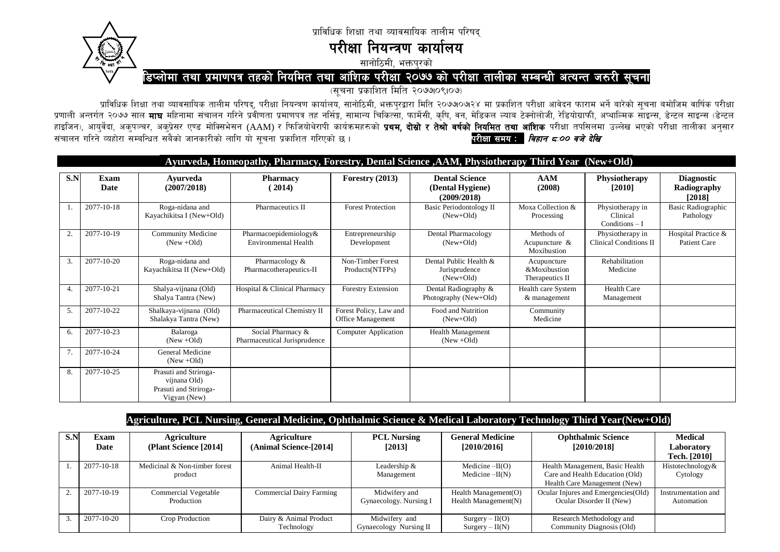



परीक्षा नियन्त्रण कार्यालय

सानोठिमी, भक्तपरको

## डिप्लोमा तथा प्रमाणपत्र तहको नियमित तथा आंशिक परीक्षा २०७७ को परीक्षा तालीका सम्बन्धी अत्यन्त जरुरी सूचना

(सचना प्रकाशित मिति २०७७।०९।०७)

प्राविधिक शिक्षा तथा व्यावसायिक तालीम परिषद्, परीक्षा नियन्त्रण कार्यालय, सानोठिमी, भक्तपुरद्वारा मिति २०७७०७२४ मा प्रकाशित परीक्षा आवेदन फाराम भर्ने बारेको सूचना बमोजिम वार्षिक परीक्षा प्रणाली अन्तर्गत २०७७ साल **माघ** महिनामा संचालन गरिने प्रवीणता प्रमाणपत्र तह नर्सिङ्ग, सामान्य चिकित्सा, फार्मेसी, कृषि, वन, मेडिकल ल्याब टेक्नोलोजी, रेडियोग्राफी, अप्याल्मिक साइन्स, डेन्टल साइन्स (डेन्टल) स्टेल्स (डेन्टल) हाइजिन), आयर्वेदा, अक्पञ्चर, अक्प्रेसर एण्ड मोक्सिभेसन (AAM) र फिजियोथेरापी कार्यक्रमहरुको **प्रथम, दोस्रो र तेश्रो वर्षको नियमित तथा आंशिक** परीक्षा तपसिलमा उल्लेख भएको परीक्षा तालीका अनुसार संचालन गरिने व्यहोरा सम्बन्धित सबैको जानकारीको लागि यो सूचना प्रकाशित गरिएको छ। परीक्षा समय : बिहान ८:०० वजे देखि

|     | Ayurveda, Homeopathy, Pharmacy, Forestry, Dental Science , AAM, Physiotherapy Third Year (New+Old) |                                                                                |                                                      |                                                    |                                                          |                                                |                                                   |                                            |  |  |
|-----|----------------------------------------------------------------------------------------------------|--------------------------------------------------------------------------------|------------------------------------------------------|----------------------------------------------------|----------------------------------------------------------|------------------------------------------------|---------------------------------------------------|--------------------------------------------|--|--|
| S.N | Exam<br>Date                                                                                       | <b>Ayurveda</b><br>(2007/2018)                                                 | <b>Pharmacy</b><br>(2014)                            | Forestry $(2013)$                                  | <b>Dental Science</b><br>(Dental Hygiene)<br>(2009/2018) | AAM<br>(2008)                                  | <b>Physiotherapy</b><br>[2010]                    | <b>Diagnostic</b><br>Radiography<br>[2018] |  |  |
|     | 2077-10-18                                                                                         | Roga-nidana and<br>Kayachikitsa I (New+Old)                                    | Pharmaceutics II                                     | <b>Forest Protection</b>                           | <b>Basic Periodontology II</b><br>$(New+Old)$            | Moxa Collection &<br>Processing                | Physiotherapy in<br>Clinical<br>$Conditions - I$  | <b>Basic Radiographic</b><br>Pathology     |  |  |
| 2.  | 2077-10-19                                                                                         | <b>Community Medicine</b><br>$(New + Old)$                                     | Pharmacoepidemiology&<br><b>Environmental Health</b> | Entrepreneurship<br>Development                    | Dental Pharmacology<br>$(New+Old)$                       | Methods of<br>Acupuncture &<br>Moxibustion     | Physiotherapy in<br><b>Clinical Conditions II</b> | Hospital Practice &<br>Patient Care        |  |  |
| 3.  | 2077-10-20                                                                                         | Roga-nidana and<br>Kayachikitsa II (New+Old)                                   | Pharmacology &<br>Pharmacotherapeutics-II            | Non-Timber Forest<br>Products(NTFPs)               | Dental Public Health &<br>Jurisprudence<br>$New+Old$     | Acupuncture<br>&Moxibustion<br>Therapeutics II | Rehabilitation<br>Medicine                        |                                            |  |  |
| 4.  | 2077-10-21                                                                                         | Shalya-vijnana (Old)<br>Shalya Tantra (New)                                    | Hospital & Clinical Pharmacy                         | Forestry Extension                                 | Dental Radiography &<br>Photography (New+Old)            | Health care System<br>& management             | <b>Health Care</b><br>Management                  |                                            |  |  |
| 5.  | 2077-10-22                                                                                         | Shalkaya-vijnana (Old)<br>Shalakya Tantra (New)                                | Pharmaceutical Chemistry II                          | Forest Policy, Law and<br><b>Office Management</b> | Food and Nutrition<br>$(New+Old)$                        | Community<br>Medicine                          |                                                   |                                            |  |  |
| 6.  | 2077-10-23                                                                                         | Balaroga<br>$(New + Old)$                                                      | Social Pharmacy &<br>Pharmaceutical Jurisprudence    | Computer Application                               | <b>Health Management</b><br>$(New + Old)$                |                                                |                                                   |                                            |  |  |
| 7.  | 2077-10-24                                                                                         | General Medicine<br>$(New + Old)$                                              |                                                      |                                                    |                                                          |                                                |                                                   |                                            |  |  |
| 8.  | 2077-10-25                                                                                         | Prasuti and Striroga-<br>vijnana Old)<br>Prasuti and Striroga-<br>Vigyan (New) |                                                      |                                                    |                                                          |                                                |                                                   |                                            |  |  |

## Agriculture, PCL Nursing, General Medicine, Ophthalmic Science & Medical Laboratory Technology Third Year(New+Old)

| S.P | Exam       | Agriculture                   | Agriculture                     | <b>PCL Nursing</b>     | <b>General Medicine</b> | <b>Ophthalmic Science</b>            | <b>Medical</b>      |
|-----|------------|-------------------------------|---------------------------------|------------------------|-------------------------|--------------------------------------|---------------------|
|     | Date       | (Plant Science [2014]         | (Animal Science-[2014]          | [2013]                 | [2010/2016]             | [2010/2018]                          | Laboratory          |
|     |            |                               |                                 |                        |                         |                                      | Tech. [2010]        |
|     | 2077-10-18 | Medicinal & Non-timber forest | Animal Health-II                | Leadership $&$         | Medicine $-II(O)$       | Health Management, Basic Health      | Histotechnology&    |
|     |            | product                       |                                 | Management             | Medicine $-II(N)$       | Care and Health Education (Old)      | Cytology            |
|     |            |                               |                                 |                        |                         | Health Care Management (New)         |                     |
|     | 2077-10-19 | Commercial Vegetable          | <b>Commercial Dairy Farming</b> | Midwifery and          | Health Management $(O)$ | Ocular Injures and Emergencies (Old) | Instrumentation and |
|     |            | Production                    |                                 | Gynaecology. Nursing I | Health Management $(N)$ | Ocular Disorder II (New)             | Automation          |
|     |            |                               |                                 |                        |                         |                                      |                     |
|     | 2077-10-20 | Crop Production               | Dairy & Animal Product          | Midwifery and          | $Surgery - II(O)$       | Research Methodology and             |                     |
|     |            |                               | Technology                      | Gynaecology Nursing II | $Surgery - II(N)$       | Community Diagnosis (Old)            |                     |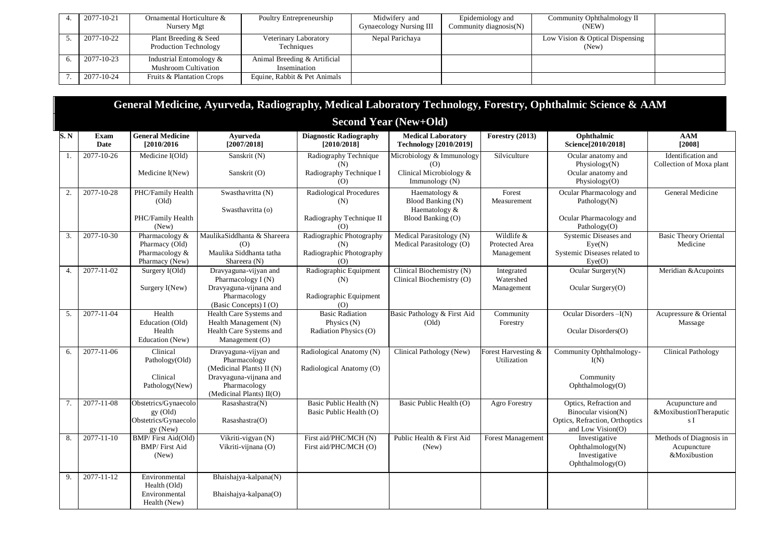| 2077-10-21 | Ornamental Horticulture &<br>Nursery Mgt        | Poultry Entrepreneurship                     | Midwifery and<br>Gynaecology Nursing III | Epidemiology and<br>Community diagnosis(N) | Community Ophthalmology II<br>(NEW)      |  |
|------------|-------------------------------------------------|----------------------------------------------|------------------------------------------|--------------------------------------------|------------------------------------------|--|
| 2077-10-22 | Plant Breeding & Seed<br>Production Technology  | Veterinary Laboratory<br>Techniques          | Nepal Parichaya                          |                                            | Low Vision & Optical Dispensing<br>(New) |  |
| 2077-10-23 | Industrial Entomology &<br>Mushroom Cultivation | Animal Breeding & Artificial<br>Insemination |                                          |                                            |                                          |  |
| 2077-10-24 | Fruits & Plantation Crops                       | Equine, Rabbit & Pet Animals                 |                                          |                                            |                                          |  |

|      |                            |                                                                        |                                                                                                                                          |                                                                    |                                                                               |                                            | General Medicine, Ayurveda, Radiography, Medical Laboratory Technology, Forestry, Ophthalmic Science & AAM |                                                        |
|------|----------------------------|------------------------------------------------------------------------|------------------------------------------------------------------------------------------------------------------------------------------|--------------------------------------------------------------------|-------------------------------------------------------------------------------|--------------------------------------------|------------------------------------------------------------------------------------------------------------|--------------------------------------------------------|
|      |                            |                                                                        |                                                                                                                                          |                                                                    | <b>Second Year (New+Old)</b>                                                  |                                            |                                                                                                            |                                                        |
| S. N | <b>Exam</b><br><b>Date</b> | <b>General Medicine</b><br>[2010/2016]                                 | Avurveda<br>[2007/2018]                                                                                                                  | <b>Diagnostic Radiography</b><br>[2010/2018]                       | <b>Medical Laboratory</b><br><b>Technology</b> [2010/2019]                    | Forestry (2013)                            | Ophthalmic<br>Science[2010/2018]                                                                           | AAM<br>[2008]                                          |
| 1.   | 2077-10-26                 | Medicine $I(Old)$<br>Medicine I(New)                                   | Sanskrit (N)<br>Sanskrit (O)                                                                                                             | Radiography Technique<br>(N)<br>Radiography Technique I<br>(0)     | Microbiology & Immunology<br>(0)<br>Clinical Microbiology &<br>Immunology (N) | Silviculture                               | Ocular anatomy and<br>Physiology $(N)$<br>Ocular anatomy and<br>Physiology(O)                              | Identification and<br>Collection of Moxa plant         |
| 2.   | 2077-10-28                 | PHC/Family Health<br>(Old)<br>PHC/Family Health<br>(New)               | Swasthavritta (N)<br>Swasthavritta (o)                                                                                                   | Radiological Procedures<br>(N)<br>Radiography Technique II<br>(O)  | Haematology &<br>Blood Banking (N)<br>Haematology &<br>Blood Banking (O)      | Forest<br>Measurement                      | Ocular Pharmacology and<br>Pathology $(N)$<br>Ocular Pharmacology and<br>Pathology(O)                      | General Medicine                                       |
| 3.   | 2077-10-30                 | Pharmacology &<br>Pharmacy (Old)<br>Pharmacology &<br>Pharmacy (New)   | MaulikaSiddhanta & Shareera<br>(O)<br>Maulika Siddhanta tatha<br>Shareera (N)                                                            | Radiographic Photography<br>(N)<br>Radiographic Photography<br>(O) | Medical Parasitology (N)<br>Medical Parasitology (O)                          | Wildlife &<br>Protected Area<br>Management | Systemic Diseases and<br>Eye(N)<br>Systemic Diseases related to<br>Eve(O)                                  | <b>Basic Theory Oriental</b><br>Medicine               |
| 4.   | 2077-11-02                 | Surgery I(Old)<br>Surgery I(New)                                       | Dravyaguna-vijyan and<br>Pharmacology $I(N)$<br>Dravyaguna-vijnana and<br>Pharmacology<br>(Basic Concepts) I (O)                         | Radiographic Equipment<br>(N)<br>Radiographic Equipment<br>(O)     | Clinical Biochemistry (N)<br>Clinical Biochemistry (O)                        | Integrated<br>Watershed<br>Management      | Ocular Surgery(N)<br>Ocular Surgery(O)                                                                     | Meridian & Acupoints                                   |
| 5.   | 2077-11-04                 | Health<br>Education (Old)<br>Health<br>Education (New)                 | Health Care Systems and<br>Health Management (N)<br>Health Care Systems and<br>Management $(O)$                                          | <b>Basic Radiation</b><br>Physics $(N)$<br>Radiation Physics (O)   | Basic Pathology & First Aid<br>(Old)                                          | Community<br>Forestry                      | Ocular Disorders-I(N)<br>Ocular Disorders(O)                                                               | Acupressure & Oriental<br>Massage                      |
| 6.   | 2077-11-06                 | Clinical<br>Pathology(Old)<br>Clinical<br>Pathology(New)               | Dravyaguna-vijyan and<br>Pharmacology<br>(Medicinal Plants) II (N)<br>Dravyaguna-vijnana and<br>Pharmacology<br>(Medicinal Plants) II(O) | Radiological Anatomy (N)<br>Radiological Anatomy (O)               | Clinical Pathology (New)                                                      | Forest Harvesting &<br>Utilization         | Community Ophthalmology-<br>I(N)<br>Community<br>Ophthalmology(O)                                          | <b>Clinical Pathology</b>                              |
| 7.   | 2077-11-08                 | Obstetrics/Gynaecolo<br>$gy$ (Old)<br>Obstetrics/Gynaecolo<br>gy (New) | Rasashastra(N)<br>Rasashastra(O)                                                                                                         | Basic Public Health (N)<br>Basic Public Health (O)                 | Basic Public Health (O)                                                       | Agro Forestry                              | Optics, Refraction and<br>Binocular vision(N)<br>Optics, Refraction, Orthoptics<br>and Low Vision(O)       | Acupuncture and<br>&MoxibustionTheraputic<br>s I       |
| 8.   | 2077-11-10                 | BMP/ First Aid(Old)<br><b>BMP/First Aid</b><br>(New)                   | Vikriti-vigyan (N)<br>Vikriti-vijnana (O)                                                                                                | First aid/PHC/MCH (N)<br>First aid/PHC/MCH (O)                     | Public Health & First Aid<br>(New)                                            | Forest Management                          | Investigative<br>Ophthalmology(N)<br>Investigative<br>Ophthalmology(O)                                     | Methods of Diagnosis in<br>Acupuncture<br>&Moxibustion |
| 9.   | 2077-11-12                 | Environmental<br>Health (Old)<br>Environmental<br>Health (New)         | Bhaishajya-kalpana(N)<br>Bhaishajya-kalpana(O)                                                                                           |                                                                    |                                                                               |                                            |                                                                                                            |                                                        |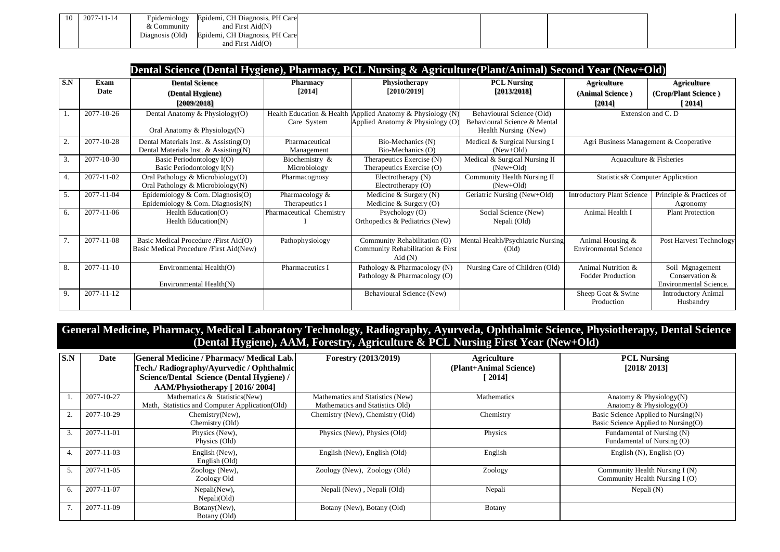| 10 l | 2077-11-14 | Epidemiology    | Epidemi, CH Diagnosis, PH Care   |  |  |
|------|------------|-----------------|----------------------------------|--|--|
|      |            | & Community     | and First Aid(N)                 |  |  |
|      |            | Diagnosis (Old) | Epidemi, CH Diagnosis, PH Care   |  |  |
|      |            |                 | and First $\text{Aid}(\text{O})$ |  |  |

|     | Dental Science (Dental Hygiene), Pharmacy, PCL Nursing & Agriculture(Plant/Animal) Second Year (New+Old) |                                                                                  |                                          |                                                                               |                                                                                   |                                                  |                                                             |  |  |
|-----|----------------------------------------------------------------------------------------------------------|----------------------------------------------------------------------------------|------------------------------------------|-------------------------------------------------------------------------------|-----------------------------------------------------------------------------------|--------------------------------------------------|-------------------------------------------------------------|--|--|
| S.N | Exam<br>Date                                                                                             | <b>Dental Science</b><br>(Dental Hygiene)<br>[2009/2018]                         | <b>Pharmacy</b><br>[2014]                | Physiotherapy<br>[2010/2019]                                                  | <b>PCL Nursing</b><br>[2013/2018]                                                 | <b>Agriculture</b><br>(Animal Science)<br>[2014] | <b>Agriculture</b><br>(Crop/Plant Science)<br>[2014]        |  |  |
| 1.  | 2077-10-26                                                                                               | Dental Anatomy & Physiology(O)<br>Oral Anatomy & Physiology(N)                   | Health Education & Health<br>Care System | Applied Anatomy & Physiology (N)<br>Applied Anatomy & Physiology (O)          | Behavioural Science (Old)<br>Behavioural Science & Mental<br>Health Nursing (New) | Extension and C. D                               |                                                             |  |  |
| 2.  | 2077-10-28                                                                                               | Dental Materials Inst. & Assisting(O)<br>Dental Materials Inst. & Assisting(N)   | Pharmaceutical<br>Management             | Bio-Mechanics (N)<br>Bio-Mechanics (O)                                        | Medical & Surgical Nursing I<br>$(New+Old)$                                       | Agri Business Management & Cooperative           |                                                             |  |  |
| 3.  | 2077-10-30                                                                                               | Basic Periodontology I(O)<br>Basic Periodontology I(N)                           | Biochemistry &<br>Microbiology           | Therapeutics Exercise (N)<br>Therapeutics Exercise (O)                        | Medical & Surgical Nursing II<br>$(New+Old)$                                      | Aquaculture & Fisheries                          |                                                             |  |  |
| 4.  | 2077-11-02                                                                                               | Oral Pathology & Microbiology(O)<br>Oral Pathology & Microbiology $(N)$          | Pharmacognosy                            | Electrotherapy (N)<br>Electrotherapy $(O)$                                    | Community Health Nursing II<br>$(New+Old)$                                        | Statistics& Computer Application                 |                                                             |  |  |
| 5.  | 2077-11-04                                                                                               | Epidemiology & Com. Diagnosis(O)<br>Epidemiology & Com. Diagnosis $(N)$          | Pharmacology &<br>Therapeutics I         | Medicine & Surgery $(N)$<br>Medicine & Surgery $(O)$                          | Geriatric Nursing (New+Old)                                                       | <b>Introductory Plant Science</b>                | Principle & Practices of<br>Agronomy                        |  |  |
| 6.  | 2077-11-06                                                                                               | Health Education(O)<br>Health Education(N)                                       | Pharmaceutical Chemistry                 | Psychology $(O)$<br>Orthopedics & Pediatrics (New)                            | Social Science (New)<br>Nepali (Old)                                              | Animal Health I                                  | <b>Plant Protection</b>                                     |  |  |
| 7.  | 2077-11-08                                                                                               | Basic Medical Procedure /First Aid(O)<br>Basic Medical Procedure /First Aid(New) | Pathophysiology                          | Community Rehabilitation (O)<br>Community Rehabilitation & First<br>Aid $(N)$ | Mental Health/Psychiatric Nursing<br>(Old)                                        | Animal Housing &<br><b>Environmental Science</b> | Post Harvest Technology                                     |  |  |
| 8.  | 2077-11-10                                                                                               | Environmental Health(O)<br>Environmental Health(N)                               | Pharmaceutics I                          | Pathology & Pharmacology (N)<br>Pathology & Pharmacology (O)                  | Nursing Care of Children (Old)                                                    | Animal Nutrition &<br><b>Fodder Production</b>   | Soil Mgnagement<br>Conservation &<br>Environmental Science. |  |  |
| 9.  | 2077-11-12                                                                                               |                                                                                  |                                          | Behavioural Science (New)                                                     |                                                                                   | Sheep Goat & Swine<br>Production                 | <b>Introductory Animal</b><br>Husbandry                     |  |  |

**General Medicine, Pharmacy, Medical Laboratory Technology, Radiography, Ayurveda, Ophthalmic Science, Physiotherapy, Dental Science (Dental Hygiene), AAM, Forestry, Agriculture & PCL Nursing First Year (New+Old)**

| S.N | Date       | <b>General Medicine / Pharmacy/ Medical Lab.</b><br>Tech./ Radiography/Ayurvedic / Ophthalmic                     | <b>Forestry (2013/2019)</b>                                         | Agriculture<br>(Plant+Animal Science) | <b>PCL Nursing</b><br>[2018/2013]                                          |
|-----|------------|-------------------------------------------------------------------------------------------------------------------|---------------------------------------------------------------------|---------------------------------------|----------------------------------------------------------------------------|
|     |            | Science/Dental Science (Dental Hygiene) /                                                                         |                                                                     | [2014]                                |                                                                            |
|     | 2077-10-27 | AAM/Physiotherapy [2016/2004]<br>Mathematics & Statistics(New)<br>Math, Statistics and Computer Application (Old) | Mathematics and Statistics (New)<br>Mathematics and Statistics Old) | Mathematics                           | Anatomy & Physiology $(N)$<br>Anatomy & Physiology(O)                      |
| 2.  | 2077-10-29 | Chemistry(New),<br>Chemistry (Old)                                                                                | Chemistry (New), Chemistry (Old)                                    | Chemistry                             | Basic Science Applied to Nursing(N)<br>Basic Science Applied to Nursing(O) |
| 3.  | 2077-11-01 | Physics (New),<br>Physics (Old)                                                                                   | Physics (New), Physics (Old)                                        | Physics                               | Fundamental of Nursing (N)<br>Fundamental of Nursing (O)                   |
| 4.  | 2077-11-03 | English (New).<br>English (Old)                                                                                   | English (New), English (Old)                                        | English                               | English $(N)$ , English $(O)$                                              |
| 5.  | 2077-11-05 | Zoology (New),<br>Zoology Old                                                                                     | Zoology (New), Zoology (Old)                                        | Zoology                               | Community Health Nursing I (N)<br>Community Health Nursing I (O)           |
| 6.  | 2077-11-07 | Nepali(New),<br>Nepali(Old)                                                                                       | Nepali (New), Nepali (Old)                                          | Nepali                                | Nepali $(N)$                                                               |
|     | 2077-11-09 | Botany(New),<br>Botany (Old)                                                                                      | Botany (New), Botany (Old)                                          | Botany                                |                                                                            |